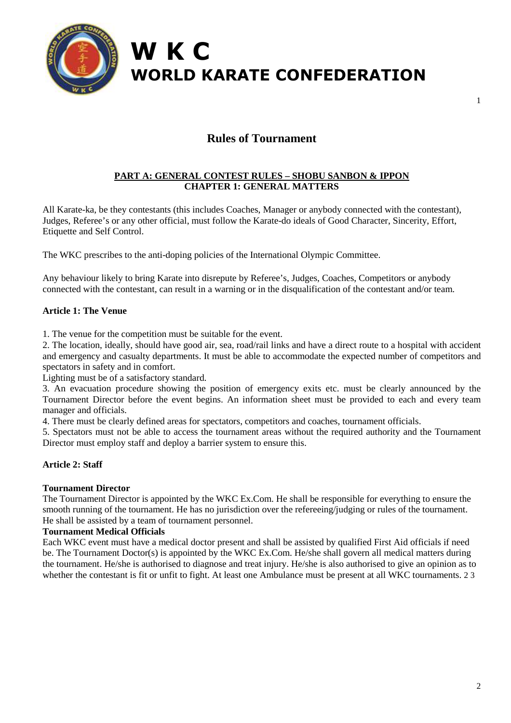

# **W K C WORLD KARATE CONFEDERATION**

## **Rules of Tournament**

## **PART A: GENERAL CONTEST RULES – SHOBU SANBON & IPPON CHAPTER 1: GENERAL MATTERS**

All Karate-ka, be they contestants (this includes Coaches, Manager or anybody connected with the contestant), Judges, Referee's or any other official, must follow the Karate-do ideals of Good Character, Sincerity, Effort, Etiquette and Self Control.

The WKC prescribes to the anti-doping policies of the International Olympic Committee.

Any behaviour likely to bring Karate into disrepute by Referee's, Judges, Coaches, Competitors or anybody connected with the contestant, can result in a warning or in the disqualification of the contestant and/or team.

## **Article 1: The Venue**

1. The venue for the competition must be suitable for the event.

2. The location, ideally, should have good air, sea, road/rail links and have a direct route to a hospital with accident and emergency and casualty departments. It must be able to accommodate the expected number of competitors and spectators in safety and in comfort.

Lighting must be of a satisfactory standard.

3. An evacuation procedure showing the position of emergency exits etc. must be clearly announced by the Tournament Director before the event begins. An information sheet must be provided to each and every team manager and officials.

4. There must be clearly defined areas for spectators, competitors and coaches, tournament officials.

5. Spectators must not be able to access the tournament areas without the required authority and the Tournament Director must employ staff and deploy a barrier system to ensure this.

#### **Article 2: Staff**

#### **Tournament Director**

The Tournament Director is appointed by the WKC Ex.Com. He shall be responsible for everything to ensure the smooth running of the tournament. He has no jurisdiction over the refereeing/judging or rules of the tournament. He shall be assisted by a team of tournament personnel.

#### **Tournament Medical Officials**

Each WKC event must have a medical doctor present and shall be assisted by qualified First Aid officials if need be. The Tournament Doctor(s) is appointed by the WKC Ex.Com. He/she shall govern all medical matters during the tournament. He/she is authorised to diagnose and treat injury. He/she is also authorised to give an opinion as to whether the contestant is fit or unfit to fight. At least one Ambulance must be present at all WKC tournaments. 2 3

1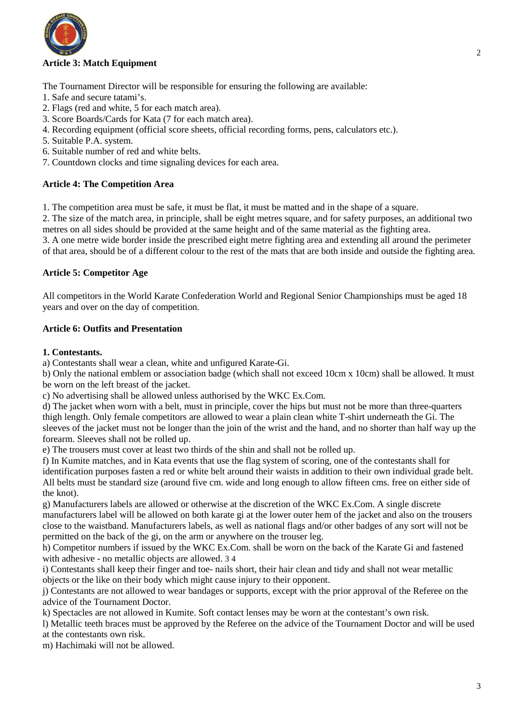

## **Article 3: Match Equipment**

The Tournament Director will be responsible for ensuring the following are available:

- 1. Safe and secure tatami's.
- 2. Flags (red and white, 5 for each match area).
- 3. Score Boards/Cards for Kata (7 for each match area).
- 4. Recording equipment (official score sheets, official recording forms, pens, calculators etc.).
- 5. Suitable P.A. system.
- 6. Suitable number of red and white belts.
- 7. Countdown clocks and time signaling devices for each area.

#### **Article 4: The Competition Area**

1. The competition area must be safe, it must be flat, it must be matted and in the shape of a square.

2. The size of the match area, in principle, shall be eight metres square, and for safety purposes, an additional two metres on all sides should be provided at the same height and of the same material as the fighting area. 3. A one metre wide border inside the prescribed eight metre fighting area and extending all around the perimeter of that area, should be of a different colour to the rest of the mats that are both inside and outside the fighting area.

#### **Article 5: Competitor Age**

All competitors in the World Karate Confederation World and Regional Senior Championships must be aged 18 years and over on the day of competition.

## **Article 6: Outfits and Presentation**

#### **1. Contestants.**

a) Contestants shall wear a clean, white and unfigured Karate-Gi.

b) Only the national emblem or association badge (which shall not exceed 10cm x 10cm) shall be allowed. It must be worn on the left breast of the jacket.

c) No advertising shall be allowed unless authorised by the WKC Ex.Com.

d) The jacket when worn with a belt, must in principle, cover the hips but must not be more than three-quarters thigh length. Only female competitors are allowed to wear a plain clean white T-shirt underneath the Gi. The sleeves of the jacket must not be longer than the join of the wrist and the hand, and no shorter than half way up the forearm. Sleeves shall not be rolled up.

e) The trousers must cover at least two thirds of the shin and shall not be rolled up.

f) In Kumite matches, and in Kata events that use the flag system of scoring, one of the contestants shall for identification purposes fasten a red or white belt around their waists in addition to their own individual grade belt. All belts must be standard size (around five cm. wide and long enough to allow fifteen cms. free on either side of the knot).

g) Manufacturers labels are allowed or otherwise at the discretion of the WKC Ex.Com. A single discrete manufacturers label will be allowed on both karate gi at the lower outer hem of the jacket and also on the trousers close to the waistband. Manufacturers labels, as well as national flags and/or other badges of any sort will not be permitted on the back of the gi, on the arm or anywhere on the trouser leg.

h) Competitor numbers if issued by the WKC Ex.Com. shall be worn on the back of the Karate Gi and fastened with adhesive - no metallic objects are allowed. 3 4

i) Contestants shall keep their finger and toe- nails short, their hair clean and tidy and shall not wear metallic objects or the like on their body which might cause injury to their opponent.

j) Contestants are not allowed to wear bandages or supports, except with the prior approval of the Referee on the advice of the Tournament Doctor.

k) Spectacles are not allowed in Kumite. Soft contact lenses may be worn at the contestant's own risk.

l) Metallic teeth braces must be approved by the Referee on the advice of the Tournament Doctor and will be used at the contestants own risk.

m) Hachimaki will not be allowed.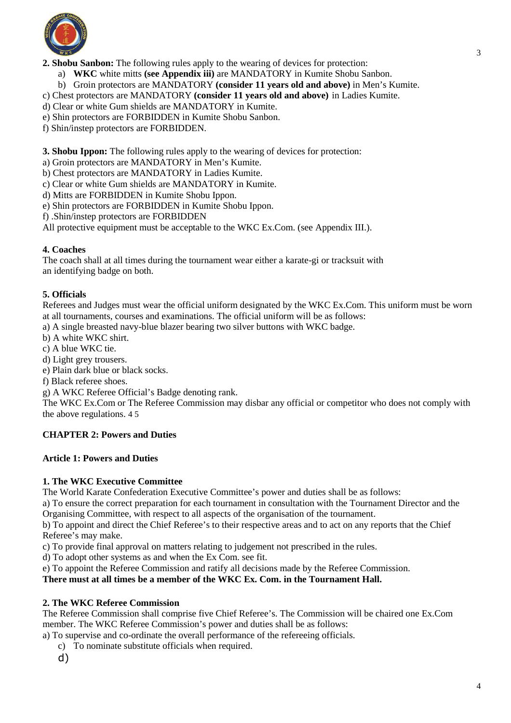

**2. Shobu Sanbon:** The following rules apply to the wearing of devices for protection:

a) **WKC** white mitts **(see Appendix iii)** are MANDATORY in Kumite Shobu Sanbon.

b) Groin protectors are MANDATORY **(consider 11 years old and above)** in Men's Kumite.

c) Chest protectors are MANDATORY **(consider 11 years old and above)** in Ladies Kumite.

d) Clear or white Gum shields are MANDATORY in Kumite.

e) Shin protectors are FORBIDDEN in Kumite Shobu Sanbon.

f) Shin/instep protectors are FORBIDDEN.

**3. Shobu Ippon:** The following rules apply to the wearing of devices for protection:

a) Groin protectors are MANDATORY in Men's Kumite.

b) Chest protectors are MANDATORY in Ladies Kumite.

c) Clear or white Gum shields are MANDATORY in Kumite.

d) Mitts are FORBIDDEN in Kumite Shobu Ippon.

e) Shin protectors are FORBIDDEN in Kumite Shobu Ippon.

f) .Shin/instep protectors are FORBIDDEN

All protective equipment must be acceptable to the WKC Ex.Com. (see Appendix III.).

#### **4. Coaches**

The coach shall at all times during the tournament wear either a karate-gi or tracksuit with an identifying badge on both.

#### **5. Officials**

Referees and Judges must wear the official uniform designated by the WKC Ex.Com. This uniform must be worn at all tournaments, courses and examinations. The official uniform will be as follows:

a) A single breasted navy-blue blazer bearing two silver buttons with WKC badge.

b) A white WKC shirt.

c) A blue WKC tie.

d) Light grey trousers.

e) Plain dark blue or black socks.

f) Black referee shoes.

g) A WKC Referee Official's Badge denoting rank.

The WKC Ex.Com or The Referee Commission may disbar any official or competitor who does not comply with the above regulations. 4 5

#### **CHAPTER 2: Powers and Duties**

#### **Article 1: Powers and Duties**

#### **1. The WKC Executive Committee**

The World Karate Confederation Executive Committee's power and duties shall be as follows:

a) To ensure the correct preparation for each tournament in consultation with the Tournament Director and the Organising Committee, with respect to all aspects of the organisation of the tournament.

b) To appoint and direct the Chief Referee's to their respective areas and to act on any reports that the Chief Referee's may make.

c) To provide final approval on matters relating to judgement not prescribed in the rules.

d) To adopt other systems as and when the Ex Com. see fit.

e) To appoint the Referee Commission and ratify all decisions made by the Referee Commission.

## **There must at all times be a member of the WKC Ex. Com. in the Tournament Hall.**

#### **2. The WKC Referee Commission**

The Referee Commission shall comprise five Chief Referee's. The Commission will be chaired one Ex.Com member. The WKC Referee Commission's power and duties shall be as follows:

a) To supervise and co-ordinate the overall performance of the refereeing officials.

- c) To nominate substitute officials when required.
- d)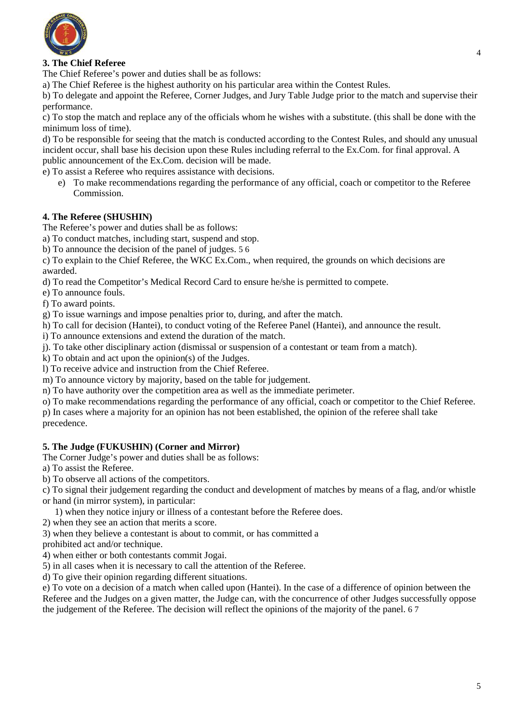

## **3. The Chief Referee**

The Chief Referee's power and duties shall be as follows:

a) The Chief Referee is the highest authority on his particular area within the Contest Rules.

b) To delegate and appoint the Referee, Corner Judges, and Jury Table Judge prior to the match and supervise their performance.

c) To stop the match and replace any of the officials whom he wishes with a substitute. (this shall be done with the minimum loss of time).

d) To be responsible for seeing that the match is conducted according to the Contest Rules, and should any unusual incident occur, shall base his decision upon these Rules including referral to the Ex.Com. for final approval. A public announcement of the Ex.Com. decision will be made.

e) To assist a Referee who requires assistance with decisions.

e) To make recommendations regarding the performance of any official, coach or competitor to the Referee Commission.

## **4. The Referee (SHUSHIN)**

The Referee's power and duties shall be as follows:

a) To conduct matches, including start, suspend and stop.

b) To announce the decision of the panel of judges. 5 6

c) To explain to the Chief Referee, the WKC Ex.Com., when required, the grounds on which decisions are awarded.

d) To read the Competitor's Medical Record Card to ensure he/she is permitted to compete.

e) To announce fouls.

f) To award points.

g) To issue warnings and impose penalties prior to, during, and after the match.

h) To call for decision (Hantei), to conduct voting of the Referee Panel (Hantei), and announce the result.

i) To announce extensions and extend the duration of the match.

j). To take other disciplinary action (dismissal or suspension of a contestant or team from a match).

k) To obtain and act upon the opinion(s) of the Judges.

l) To receive advice and instruction from the Chief Referee.

m) To announce victory by majority, based on the table for judgement.

n) To have authority over the competition area as well as the immediate perimeter.

o) To make recommendations regarding the performance of any official, coach or competitor to the Chief Referee.

p) In cases where a majority for an opinion has not been established, the opinion of the referee shall take precedence.

## **5. The Judge (FUKUSHIN) (Corner and Mirror)**

The Corner Judge's power and duties shall be as follows:

a) To assist the Referee.

b) To observe all actions of the competitors.

c) To signal their judgement regarding the conduct and development of matches by means of a flag, and/or whistle or hand (in mirror system), in particular:

1) when they notice injury or illness of a contestant before the Referee does.

2) when they see an action that merits a score.

3) when they believe a contestant is about to commit, or has committed a

prohibited act and/or technique.

4) when either or both contestants commit Jogai.

5) in all cases when it is necessary to call the attention of the Referee.

d) To give their opinion regarding different situations.

e) To vote on a decision of a match when called upon (Hantei). In the case of a difference of opinion between the Referee and the Judges on a given matter, the Judge can, with the concurrence of other Judges successfully oppose the judgement of the Referee. The decision will reflect the opinions of the majority of the panel. 6 7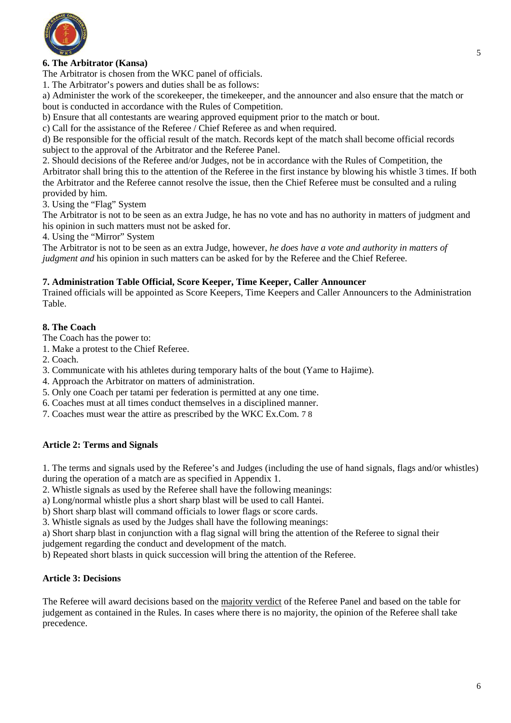

## **6. The Arbitrator (Kansa)**

The Arbitrator is chosen from the WKC panel of officials.

1. The Arbitrator's powers and duties shall be as follows:

a) Administer the work of the scorekeeper, the timekeeper, and the announcer and also ensure that the match or bout is conducted in accordance with the Rules of Competition.

b) Ensure that all contestants are wearing approved equipment prior to the match or bout.

c) Call for the assistance of the Referee / Chief Referee as and when required.

d) Be responsible for the official result of the match. Records kept of the match shall become official records subject to the approval of the Arbitrator and the Referee Panel.

2. Should decisions of the Referee and/or Judges, not be in accordance with the Rules of Competition, the Arbitrator shall bring this to the attention of the Referee in the first instance by blowing his whistle 3 times. If both the Arbitrator and the Referee cannot resolve the issue, then the Chief Referee must be consulted and a ruling provided by him.

3. Using the "Flag" System

The Arbitrator is not to be seen as an extra Judge, he has no vote and has no authority in matters of judgment and his opinion in such matters must not be asked for.

4. Using the "Mirror" System

The Arbitrator is not to be seen as an extra Judge, however, *he does have a vote and authority in matters of judgment and* his opinion in such matters can be asked for by the Referee and the Chief Referee.

#### **7. Administration Table Official, Score Keeper, Time Keeper, Caller Announcer**

Trained officials will be appointed as Score Keepers, Time Keepers and Caller Announcers to the Administration Table.

#### **8. The Coach**

The Coach has the power to:

1. Make a protest to the Chief Referee.

2. Coach.

- 3. Communicate with his athletes during temporary halts of the bout (Yame to Hajime).
- 4. Approach the Arbitrator on matters of administration.
- 5. Only one Coach per tatami per federation is permitted at any one time.
- 6. Coaches must at all times conduct themselves in a disciplined manner.
- 7. Coaches must wear the attire as prescribed by the WKC Ex.Com. 7 8

## **Article 2: Terms and Signals**

1. The terms and signals used by the Referee's and Judges (including the use of hand signals, flags and/or whistles) during the operation of a match are as specified in Appendix 1.

2. Whistle signals as used by the Referee shall have the following meanings:

a) Long/normal whistle plus a short sharp blast will be used to call Hantei.

b) Short sharp blast will command officials to lower flags or score cards.

3. Whistle signals as used by the Judges shall have the following meanings:

a) Short sharp blast in conjunction with a flag signal will bring the attention of the Referee to signal their

judgement regarding the conduct and development of the match.

b) Repeated short blasts in quick succession will bring the attention of the Referee.

## **Article 3: Decisions**

The Referee will award decisions based on the majority verdict of the Referee Panel and based on the table for judgement as contained in the Rules. In cases where there is no majority, the opinion of the Referee shall take precedence.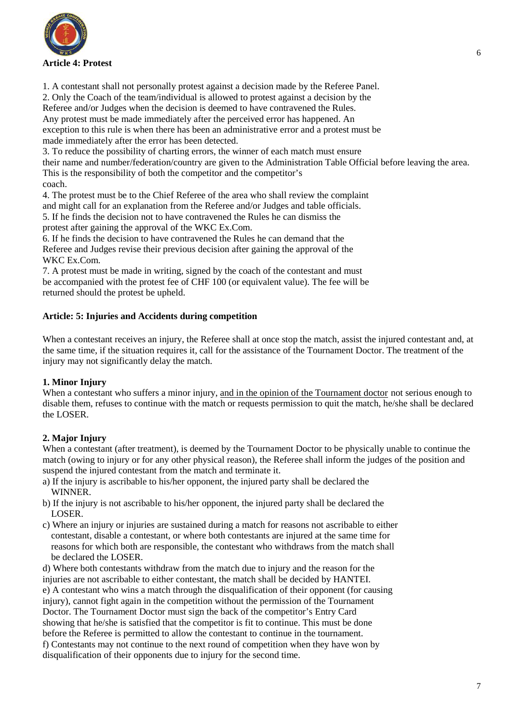

1. A contestant shall not personally protest against a decision made by the Referee Panel.

2. Only the Coach of the team/individual is allowed to protest against a decision by the

Referee and/or Judges when the decision is deemed to have contravened the Rules. Any protest must be made immediately after the perceived error has happened. An exception to this rule is when there has been an administrative error and a protest must be

made immediately after the error has been detected.

3. To reduce the possibility of charting errors, the winner of each match must ensure

their name and number/federation/country are given to the Administration Table Official before leaving the area. This is the responsibility of both the competitor and the competitor's

coach.

4. The protest must be to the Chief Referee of the area who shall review the complaint

and might call for an explanation from the Referee and/or Judges and table officials.

5. If he finds the decision not to have contravened the Rules he can dismiss the protest after gaining the approval of the WKC Ex.Com.

6. If he finds the decision to have contravened the Rules he can demand that the Referee and Judges revise their previous decision after gaining the approval of the WKC Ex.Com.

7. A protest must be made in writing, signed by the coach of the contestant and must be accompanied with the protest fee of CHF 100 (or equivalent value). The fee will be returned should the protest be upheld.

## **Article: 5: Injuries and Accidents during competition**

When a contestant receives an injury, the Referee shall at once stop the match, assist the injured contestant and, at the same time, if the situation requires it, call for the assistance of the Tournament Doctor. The treatment of the injury may not significantly delay the match.

## **1. Minor Injury**

When a contestant who suffers a minor injury, and in the opinion of the Tournament doctor not serious enough to disable them, refuses to continue with the match or requests permission to quit the match, he/she shall be declared the LOSER.

## **2. Major Injury**

When a contestant (after treatment), is deemed by the Tournament Doctor to be physically unable to continue the match (owing to injury or for any other physical reason), the Referee shall inform the judges of the position and suspend the injured contestant from the match and terminate it.

- a) If the injury is ascribable to his/her opponent, the injured party shall be declared the WINNER.
- b) If the injury is not ascribable to his/her opponent, the injured party shall be declared the LOSER.
- c) Where an injury or injuries are sustained during a match for reasons not ascribable to either contestant, disable a contestant, or where both contestants are injured at the same time for reasons for which both are responsible, the contestant who withdraws from the match shall be declared the LOSER.

d) Where both contestants withdraw from the match due to injury and the reason for the injuries are not ascribable to either contestant, the match shall be decided by HANTEI. e) A contestant who wins a match through the disqualification of their opponent (for causing injury), cannot fight again in the competition without the permission of the Tournament Doctor. The Tournament Doctor must sign the back of the competitor's Entry Card showing that he/she is satisfied that the competitor is fit to continue. This must be done before the Referee is permitted to allow the contestant to continue in the tournament. f) Contestants may not continue to the next round of competition when they have won by disqualification of their opponents due to injury for the second time.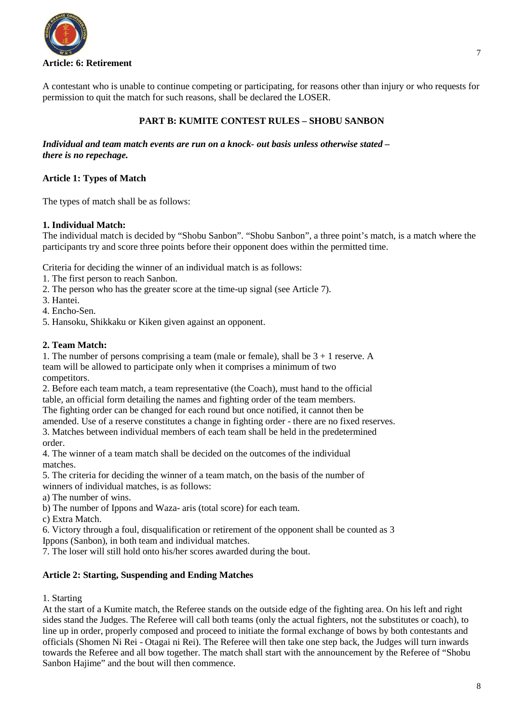

A contestant who is unable to continue competing or participating, for reasons other than injury or who requests for permission to quit the match for such reasons, shall be declared the LOSER.

## **PART B: KUMITE CONTEST RULES – SHOBU SANBON**

*Individual and team match events are run on a knock- out basis unless otherwise stated – there is no repechage.* 

#### **Article 1: Types of Match**

The types of match shall be as follows:

#### **1. Individual Match:**

The individual match is decided by "Shobu Sanbon". "Shobu Sanbon", a three point's match, is a match where the participants try and score three points before their opponent does within the permitted time.

Criteria for deciding the winner of an individual match is as follows:

- 1. The first person to reach Sanbon.
- 2. The person who has the greater score at the time-up signal (see Article 7).
- 3. Hantei.
- 4. Encho-Sen.
- 5. Hansoku, Shikkaku or Kiken given against an opponent.

#### **2. Team Match:**

1. The number of persons comprising a team (male or female), shall be  $3 + 1$  reserve. A team will be allowed to participate only when it comprises a minimum of two competitors.

2. Before each team match, a team representative (the Coach), must hand to the official table, an official form detailing the names and fighting order of the team members.

The fighting order can be changed for each round but once notified, it cannot then be

amended. Use of a reserve constitutes a change in fighting order - there are no fixed reserves. 3. Matches between individual members of each team shall be held in the predetermined order.

4. The winner of a team match shall be decided on the outcomes of the individual matches.

5. The criteria for deciding the winner of a team match, on the basis of the number of winners of individual matches, is as follows:

- a) The number of wins.
- b) The number of Ippons and Waza- aris (total score) for each team.
- c) Extra Match.

6. Victory through a foul, disqualification or retirement of the opponent shall be counted as 3 Ippons (Sanbon), in both team and individual matches.

7. The loser will still hold onto his/her scores awarded during the bout.

## **Article 2: Starting, Suspending and Ending Matches**

1. Starting

At the start of a Kumite match, the Referee stands on the outside edge of the fighting area. On his left and right sides stand the Judges. The Referee will call both teams (only the actual fighters, not the substitutes or coach), to line up in order, properly composed and proceed to initiate the formal exchange of bows by both contestants and officials (Shomen Ni Rei - Otagai ni Rei). The Referee will then take one step back, the Judges will turn inwards towards the Referee and all bow together. The match shall start with the announcement by the Referee of "Shobu Sanbon Hajime" and the bout will then commence.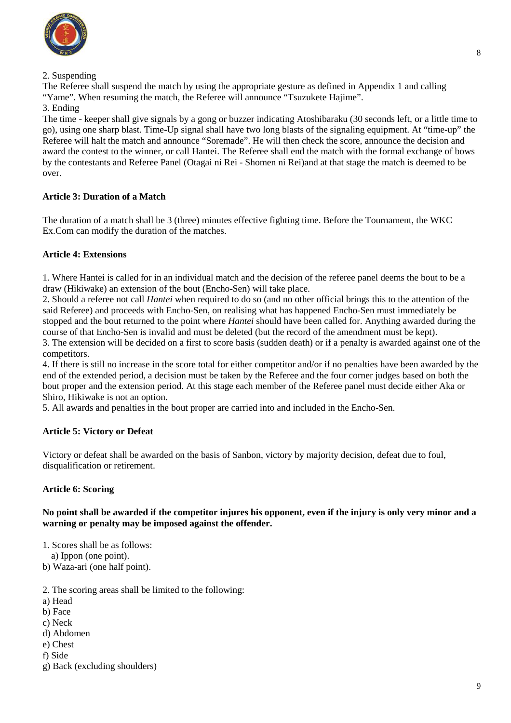

## 2. Suspending

The Referee shall suspend the match by using the appropriate gesture as defined in Appendix 1 and calling "Yame". When resuming the match, the Referee will announce "Tsuzukete Hajime".

## 3. Ending

The time - keeper shall give signals by a gong or buzzer indicating Atoshibaraku (30 seconds left, or a little time to go), using one sharp blast. Time-Up signal shall have two long blasts of the signaling equipment. At "time-up" the Referee will halt the match and announce "Soremade". He will then check the score, announce the decision and award the contest to the winner, or call Hantei. The Referee shall end the match with the formal exchange of bows by the contestants and Referee Panel (Otagai ni Rei - Shomen ni Rei)and at that stage the match is deemed to be over.

## **Article 3: Duration of a Match**

The duration of a match shall be 3 (three) minutes effective fighting time. Before the Tournament, the WKC Ex.Com can modify the duration of the matches.

## **Article 4: Extensions**

1. Where Hantei is called for in an individual match and the decision of the referee panel deems the bout to be a draw (Hikiwake) an extension of the bout (Encho-Sen) will take place.

2. Should a referee not call *Hantei* when required to do so (and no other official brings this to the attention of the said Referee) and proceeds with Encho-Sen, on realising what has happened Encho-Sen must immediately be stopped and the bout returned to the point where *Hantei* should have been called for. Anything awarded during the course of that Encho-Sen is invalid and must be deleted (but the record of the amendment must be kept).

3. The extension will be decided on a first to score basis (sudden death) or if a penalty is awarded against one of the competitors.

4. If there is still no increase in the score total for either competitor and/or if no penalties have been awarded by the end of the extended period, a decision must be taken by the Referee and the four corner judges based on both the bout proper and the extension period. At this stage each member of the Referee panel must decide either Aka or Shiro, Hikiwake is not an option.

5. All awards and penalties in the bout proper are carried into and included in the Encho-Sen.

## **Article 5: Victory or Defeat**

Victory or defeat shall be awarded on the basis of Sanbon, victory by majority decision, defeat due to foul, disqualification or retirement.

## **Article 6: Scoring**

## **No point shall be awarded if the competitor injures his opponent, even if the injury is only very minor and a warning or penalty may be imposed against the offender.**

1. Scores shall be as follows:

a) Ippon (one point).

b) Waza-ari (one half point).

- 2. The scoring areas shall be limited to the following:
- a) Head
- b) Face
- c) Neck
- d) Abdomen
- e) Chest
- f) Side
- g) Back (excluding shoulders)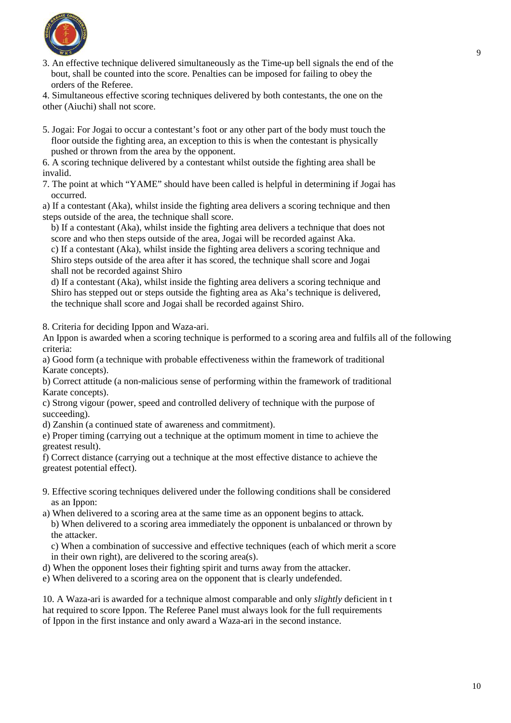

3. An effective technique delivered simultaneously as the Time-up bell signals the end of the bout, shall be counted into the score. Penalties can be imposed for failing to obey the orders of the Referee.

4. Simultaneous effective scoring techniques delivered by both contestants, the one on the other (Aiuchi) shall not score.

5. Jogai: For Jogai to occur a contestant's foot or any other part of the body must touch the floor outside the fighting area, an exception to this is when the contestant is physically pushed or thrown from the area by the opponent.

6. A scoring technique delivered by a contestant whilst outside the fighting area shall be invalid.

7. The point at which "YAME" should have been called is helpful in determining if Jogai has occurred.

a) If a contestant (Aka), whilst inside the fighting area delivers a scoring technique and then steps outside of the area, the technique shall score.

b) If a contestant (Aka), whilst inside the fighting area delivers a technique that does not score and who then steps outside of the area, Jogai will be recorded against Aka.

c) If a contestant (Aka), whilst inside the fighting area delivers a scoring technique and Shiro steps outside of the area after it has scored, the technique shall score and Jogai shall not be recorded against Shiro

d) If a contestant (Aka), whilst inside the fighting area delivers a scoring technique and Shiro has stepped out or steps outside the fighting area as Aka's technique is delivered, the technique shall score and Jogai shall be recorded against Shiro.

8. Criteria for deciding Ippon and Waza-ari.

An Ippon is awarded when a scoring technique is performed to a scoring area and fulfils all of the following criteria:

a) Good form (a technique with probable effectiveness within the framework of traditional Karate concepts).

b) Correct attitude (a non-malicious sense of performing within the framework of traditional Karate concepts).

c) Strong vigour (power, speed and controlled delivery of technique with the purpose of succeeding).

d) Zanshin (a continued state of awareness and commitment).

e) Proper timing (carrying out a technique at the optimum moment in time to achieve the greatest result).

f) Correct distance (carrying out a technique at the most effective distance to achieve the greatest potential effect).

9. Effective scoring techniques delivered under the following conditions shall be considered as an Ippon:

a) When delivered to a scoring area at the same time as an opponent begins to attack. b) When delivered to a scoring area immediately the opponent is unbalanced or thrown by the attacker.

c) When a combination of successive and effective techniques (each of which merit a score in their own right), are delivered to the scoring area(s).

- d) When the opponent loses their fighting spirit and turns away from the attacker.
- e) When delivered to a scoring area on the opponent that is clearly undefended.

10. A Waza-ari is awarded for a technique almost comparable and only *slightly* deficient in t hat required to score Ippon. The Referee Panel must always look for the full requirements of Ippon in the first instance and only award a Waza-ari in the second instance.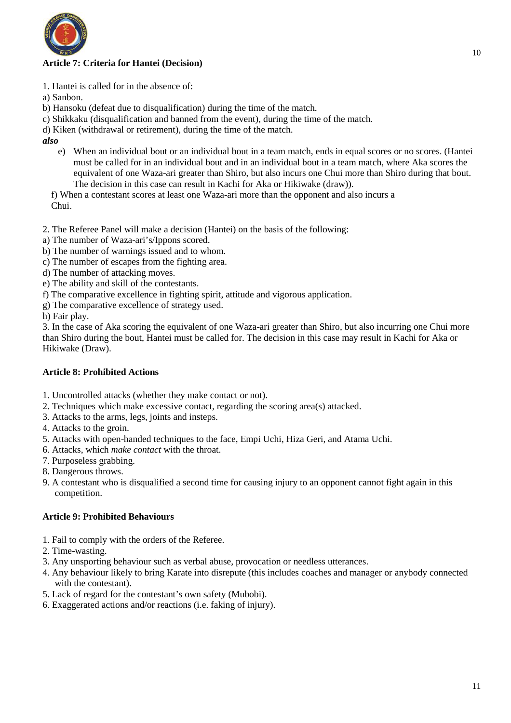

## **Article 7: Criteria for Hantei (Decision)**

- 1. Hantei is called for in the absence of:
- a) Sanbon.
- b) Hansoku (defeat due to disqualification) during the time of the match.
- c) Shikkaku (disqualification and banned from the event), during the time of the match.
- d) Kiken (withdrawal or retirement), during the time of the match.
- *also* 
	- e) When an individual bout or an individual bout in a team match, ends in equal scores or no scores. (Hantei must be called for in an individual bout and in an individual bout in a team match, where Aka scores the equivalent of one Waza-ari greater than Shiro, but also incurs one Chui more than Shiro during that bout. The decision in this case can result in Kachi for Aka or Hikiwake (draw)).

f) When a contestant scores at least one Waza-ari more than the opponent and also incurs a Chui.

- 2. The Referee Panel will make a decision (Hantei) on the basis of the following:
- a) The number of Waza-ari's/Ippons scored.
- b) The number of warnings issued and to whom.
- c) The number of escapes from the fighting area.
- d) The number of attacking moves.
- e) The ability and skill of the contestants.
- f) The comparative excellence in fighting spirit, attitude and vigorous application.
- g) The comparative excellence of strategy used.
- h) Fair play.

3. In the case of Aka scoring the equivalent of one Waza-ari greater than Shiro, but also incurring one Chui more than Shiro during the bout, Hantei must be called for. The decision in this case may result in Kachi for Aka or Hikiwake (Draw).

## **Article 8: Prohibited Actions**

- 1. Uncontrolled attacks (whether they make contact or not).
- 2. Techniques which make excessive contact, regarding the scoring area(s) attacked.
- 3. Attacks to the arms, legs, joints and insteps.
- 4. Attacks to the groin.
- 5. Attacks with open-handed techniques to the face, Empi Uchi, Hiza Geri, and Atama Uchi.
- 6. Attacks, which *make contact* with the throat.
- 7. Purposeless grabbing.
- 8. Dangerous throws.
- 9. A contestant who is disqualified a second time for causing injury to an opponent cannot fight again in this competition.

## **Article 9: Prohibited Behaviours**

- 1. Fail to comply with the orders of the Referee.
- 2. Time-wasting.
- 3. Any unsporting behaviour such as verbal abuse, provocation or needless utterances.
- 4. Any behaviour likely to bring Karate into disrepute (this includes coaches and manager or anybody connected with the contestant).
- 5. Lack of regard for the contestant's own safety (Mubobi).
- 6. Exaggerated actions and/or reactions (i.e. faking of injury).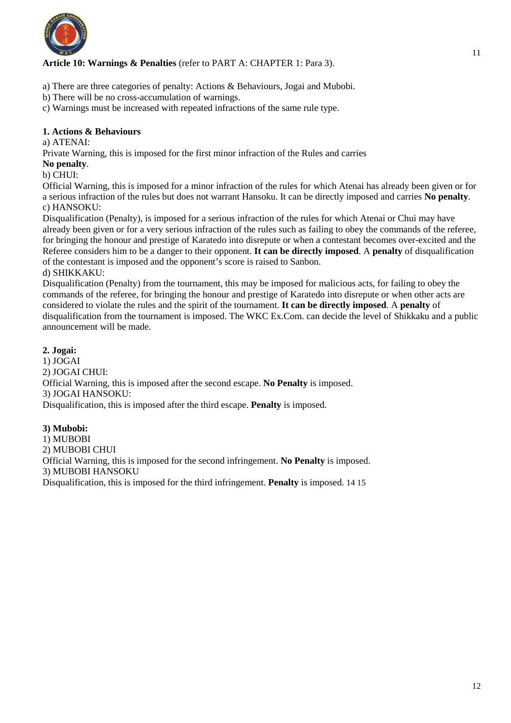

## **Article 10: Warnings & Penalties** (refer to PART A: CHAPTER 1: Para 3).

- a) There are three categories of penalty: Actions & Behaviours, Jogai and Mubobi.
- b) There will be no cross-accumulation of warnings.

c) Warnings must be increased with repeated infractions of the same rule type.

#### **1. Actions & Behaviours**

#### a) ATENAI:

Private Warning, this is imposed for the first minor infraction of the Rules and carries

#### **No penalty**.

#### b) CHUI:

Official Warning, this is imposed for a minor infraction of the rules for which Atenai has already been given or for a serious infraction of the rules but does not warrant Hansoku. It can be directly imposed and carries **No penalty**. c) HANSOKU:

Disqualification (Penalty), is imposed for a serious infraction of the rules for which Atenai or Chui may have already been given or for a very serious infraction of the rules such as failing to obey the commands of the referee, for bringing the honour and prestige of Karatedo into disrepute or when a contestant becomes over-excited and the Referee considers him to be a danger to their opponent. **It can be directly imposed**. A **penalty** of disqualification of the contestant is imposed and the opponent's score is raised to Sanbon.

#### d) SHIKKAKU:

Disqualification (Penalty) from the tournament, this may be imposed for malicious acts, for failing to obey the commands of the referee, for bringing the honour and prestige of Karatedo into disrepute or when other acts are considered to violate the rules and the spirit of the tournament. **It can be directly imposed**. A **penalty** of disqualification from the tournament is imposed. The WKC Ex.Com. can decide the level of Shikkaku and a public announcement will be made.

#### **2. Jogai:**

1) JOGAI 2) JOGAI CHUI: Official Warning, this is imposed after the second escape. **No Penalty** is imposed. 3) JOGAI HANSOKU: Disqualification, this is imposed after the third escape. **Penalty** is imposed.

#### **3) Mubobi:**

1) MUBOBI 2) MUBOBI CHUI Official Warning, this is imposed for the second infringement. **No Penalty** is imposed. 3) MUBOBI HANSOKU

Disqualification, this is imposed for the third infringement. **Penalty** is imposed. 14 15

11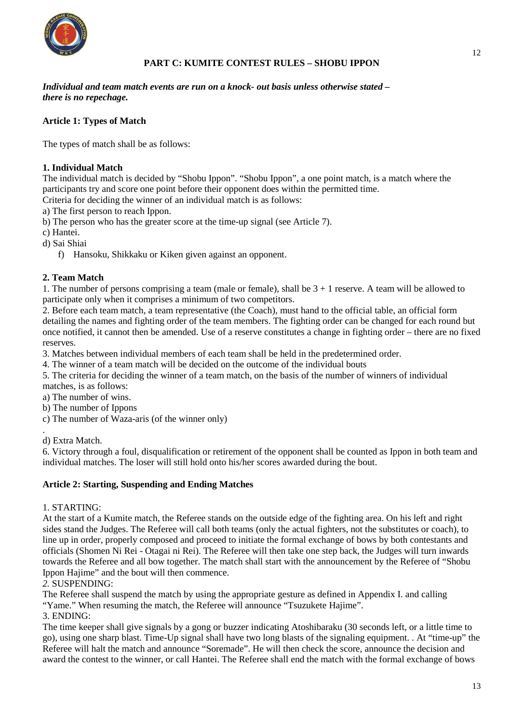

## **PART C: KUMITE CONTEST RULES – SHOBU IPPON**

*Individual and team match events are run on a knock- out basis unless otherwise stated – there is no repechage.* 

## **Article 1: Types of Match**

The types of match shall be as follows:

## **1. Individual Match**

The individual match is decided by "Shobu Ippon". "Shobu Ippon", a one point match, is a match where the participants try and score one point before their opponent does within the permitted time. Criteria for deciding the winner of an individual match is as follows:

a) The first person to reach Ippon.

b) The person who has the greater score at the time-up signal (see Article 7).

c) Hantei.

d) Sai Shiai

f) Hansoku, Shikkaku or Kiken given against an opponent.

## **2. Team Match**

1. The number of persons comprising a team (male or female), shall be  $3 + 1$  reserve. A team will be allowed to participate only when it comprises a minimum of two competitors.

2. Before each team match, a team representative (the Coach), must hand to the official table, an official form detailing the names and fighting order of the team members. The fighting order can be changed for each round but once notified, it cannot then be amended. Use of a reserve constitutes a change in fighting order – there are no fixed reserves.

3. Matches between individual members of each team shall be held in the predetermined order.

4. The winner of a team match will be decided on the outcome of the individual bouts

5. The criteria for deciding the winner of a team match, on the basis of the number of winners of individual matches, is as follows:

a) The number of wins.

b) The number of Ippons

c) The number of Waza-aris (of the winner only)

. d) Extra Match.

6. Victory through a foul, disqualification or retirement of the opponent shall be counted as Ippon in both team and individual matches. The loser will still hold onto his/her scores awarded during the bout.

## **Article 2: Starting, Suspending and Ending Matches**

#### 1. STARTING:

At the start of a Kumite match, the Referee stands on the outside edge of the fighting area. On his left and right sides stand the Judges. The Referee will call both teams (only the actual fighters, not the substitutes or coach), to line up in order, properly composed and proceed to initiate the formal exchange of bows by both contestants and officials (Shomen Ni Rei - Otagai ni Rei). The Referee will then take one step back, the Judges will turn inwards towards the Referee and all bow together. The match shall start with the announcement by the Referee of "Shobu Ippon Hajime" and the bout will then commence.

## *2.* SUSPENDING:

The Referee shall suspend the match by using the appropriate gesture as defined in Appendix I. and calling "Yame." When resuming the match, the Referee will announce "Tsuzukete Hajime".

## 3. ENDING:

The time keeper shall give signals by a gong or buzzer indicating Atoshibaraku (30 seconds left, or a little time to go), using one sharp blast. Time-Up signal shall have two long blasts of the signaling equipment. . At "time-up" the Referee will halt the match and announce "Soremade". He will then check the score, announce the decision and award the contest to the winner, or call Hantei. The Referee shall end the match with the formal exchange of bows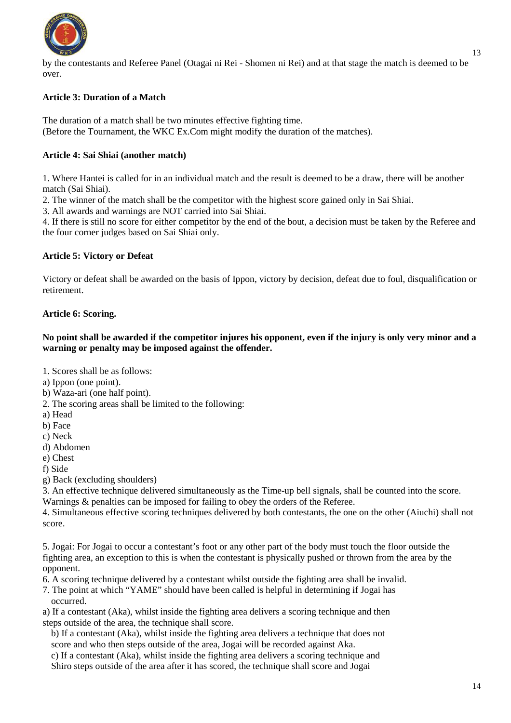

by the contestants and Referee Panel (Otagai ni Rei - Shomen ni Rei) and at that stage the match is deemed to be over.

## **Article 3: Duration of a Match**

The duration of a match shall be two minutes effective fighting time. (Before the Tournament, the WKC Ex.Com might modify the duration of the matches).

#### **Article 4: Sai Shiai (another match)**

1. Where Hantei is called for in an individual match and the result is deemed to be a draw, there will be another match (Sai Shiai).

2. The winner of the match shall be the competitor with the highest score gained only in Sai Shiai.

3. All awards and warnings are NOT carried into Sai Shiai.

4. If there is still no score for either competitor by the end of the bout, a decision must be taken by the Referee and the four corner judges based on Sai Shiai only.

#### **Article 5: Victory or Defeat**

Victory or defeat shall be awarded on the basis of Ippon, victory by decision, defeat due to foul, disqualification or retirement.

#### **Article 6: Scoring.**

#### **No point shall be awarded if the competitor injures his opponent, even if the injury is only very minor and a warning or penalty may be imposed against the offender.**

1. Scores shall be as follows:

- a) Ippon (one point).
- b) Waza-ari (one half point).
- 2. The scoring areas shall be limited to the following:
- a) Head
- b) Face
- c) Neck
- d) Abdomen
- e) Chest

f) Side

g) Back (excluding shoulders)

3. An effective technique delivered simultaneously as the Time-up bell signals, shall be counted into the score. Warnings & penalties can be imposed for failing to obey the orders of the Referee.

4. Simultaneous effective scoring techniques delivered by both contestants, the one on the other (Aiuchi) shall not score.

5. Jogai: For Jogai to occur a contestant's foot or any other part of the body must touch the floor outside the fighting area, an exception to this is when the contestant is physically pushed or thrown from the area by the opponent.

6. A scoring technique delivered by a contestant whilst outside the fighting area shall be invalid.

7. The point at which "YAME" should have been called is helpful in determining if Jogai has occurred.

a) If a contestant (Aka), whilst inside the fighting area delivers a scoring technique and then steps outside of the area, the technique shall score.

b) If a contestant (Aka), whilst inside the fighting area delivers a technique that does not score and who then steps outside of the area, Jogai will be recorded against Aka.

c) If a contestant (Aka), whilst inside the fighting area delivers a scoring technique and Shiro steps outside of the area after it has scored, the technique shall score and Jogai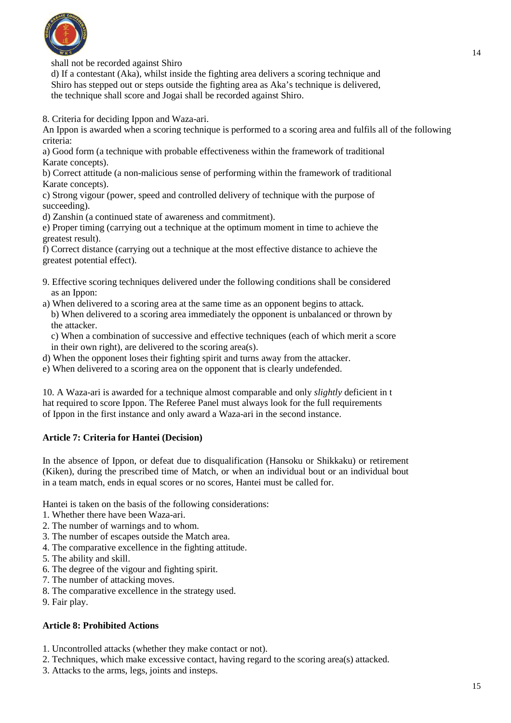

shall not be recorded against Shiro

d) If a contestant (Aka), whilst inside the fighting area delivers a scoring technique and Shiro has stepped out or steps outside the fighting area as Aka's technique is delivered, the technique shall score and Jogai shall be recorded against Shiro.

8. Criteria for deciding Ippon and Waza-ari.

An Ippon is awarded when a scoring technique is performed to a scoring area and fulfils all of the following criteria:

a) Good form (a technique with probable effectiveness within the framework of traditional Karate concepts).

b) Correct attitude (a non-malicious sense of performing within the framework of traditional Karate concepts).

c) Strong vigour (power, speed and controlled delivery of technique with the purpose of succeeding).

d) Zanshin (a continued state of awareness and commitment).

e) Proper timing (carrying out a technique at the optimum moment in time to achieve the greatest result).

f) Correct distance (carrying out a technique at the most effective distance to achieve the greatest potential effect).

- 9. Effective scoring techniques delivered under the following conditions shall be considered as an Ippon:
- a) When delivered to a scoring area at the same time as an opponent begins to attack. b) When delivered to a scoring area immediately the opponent is unbalanced or thrown by the attacker.

c) When a combination of successive and effective techniques (each of which merit a score in their own right), are delivered to the scoring area(s).

- d) When the opponent loses their fighting spirit and turns away from the attacker.
- e) When delivered to a scoring area on the opponent that is clearly undefended.

10. A Waza-ari is awarded for a technique almost comparable and only *slightly* deficient in t hat required to score Ippon. The Referee Panel must always look for the full requirements of Ippon in the first instance and only award a Waza-ari in the second instance.

#### **Article 7: Criteria for Hantei (Decision)**

In the absence of Ippon, or defeat due to disqualification (Hansoku or Shikkaku) or retirement (Kiken), during the prescribed time of Match, or when an individual bout or an individual bout in a team match, ends in equal scores or no scores, Hantei must be called for.

Hantei is taken on the basis of the following considerations:

- 1. Whether there have been Waza-ari.
- 2. The number of warnings and to whom.
- 3. The number of escapes outside the Match area.
- 4. The comparative excellence in the fighting attitude.
- 5. The ability and skill.
- 6. The degree of the vigour and fighting spirit.
- 7. The number of attacking moves.
- 8. The comparative excellence in the strategy used.
- 9. Fair play.

#### **Article 8: Prohibited Actions**

- 1. Uncontrolled attacks (whether they make contact or not).
- 2. Techniques, which make excessive contact, having regard to the scoring area(s) attacked.
- 3. Attacks to the arms, legs, joints and insteps.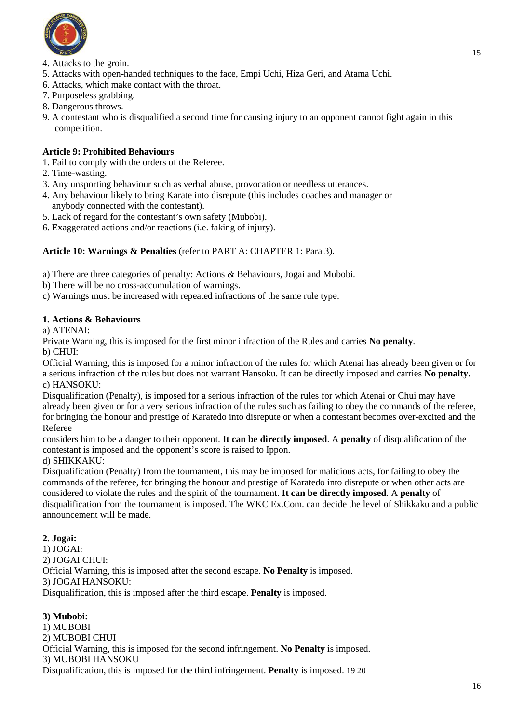

- 5. Attacks with open-handed techniques to the face, Empi Uchi, Hiza Geri, and Atama Uchi.
- 6. Attacks, which make contact with the throat.
- 7. Purposeless grabbing.
- 8. Dangerous throws.
- 9. A contestant who is disqualified a second time for causing injury to an opponent cannot fight again in this competition.

## **Article 9: Prohibited Behaviours**

- 1. Fail to comply with the orders of the Referee.
- 2. Time-wasting.
- 3. Any unsporting behaviour such as verbal abuse, provocation or needless utterances.
- 4. Any behaviour likely to bring Karate into disrepute (this includes coaches and manager or anybody connected with the contestant).
- 5. Lack of regard for the contestant's own safety (Mubobi).
- 6. Exaggerated actions and/or reactions (i.e. faking of injury).

## **Article 10: Warnings & Penalties** (refer to PART A: CHAPTER 1: Para 3).

- a) There are three categories of penalty: Actions & Behaviours, Jogai and Mubobi.
- b) There will be no cross-accumulation of warnings.
- c) Warnings must be increased with repeated infractions of the same rule type.

## **1. Actions & Behaviours**

a) ATENAI:

Private Warning, this is imposed for the first minor infraction of the Rules and carries **No penalty**. b) CHUI:

Official Warning, this is imposed for a minor infraction of the rules for which Atenai has already been given or for a serious infraction of the rules but does not warrant Hansoku. It can be directly imposed and carries **No penalty**. c) HANSOKU:

Disqualification (Penalty), is imposed for a serious infraction of the rules for which Atenai or Chui may have already been given or for a very serious infraction of the rules such as failing to obey the commands of the referee, for bringing the honour and prestige of Karatedo into disrepute or when a contestant becomes over-excited and the Referee

considers him to be a danger to their opponent. **It can be directly imposed**. A **penalty** of disqualification of the contestant is imposed and the opponent's score is raised to Ippon.

d) SHIKKAKU:

Disqualification (Penalty) from the tournament, this may be imposed for malicious acts, for failing to obey the commands of the referee, for bringing the honour and prestige of Karatedo into disrepute or when other acts are considered to violate the rules and the spirit of the tournament. **It can be directly imposed**. A **penalty** of disqualification from the tournament is imposed. The WKC Ex.Com. can decide the level of Shikkaku and a public announcement will be made.

## **2. Jogai:**

1) JOGAI: 2) JOGAI CHUI: Official Warning, this is imposed after the second escape. **No Penalty** is imposed. 3) JOGAI HANSOKU: Disqualification, this is imposed after the third escape. **Penalty** is imposed.

## **3) Mubobi:**

1) MUBOBI 2) MUBOBI CHUI Official Warning, this is imposed for the second infringement. **No Penalty** is imposed. 3) MUBOBI HANSOKU Disqualification, this is imposed for the third infringement. **Penalty** is imposed. 19 20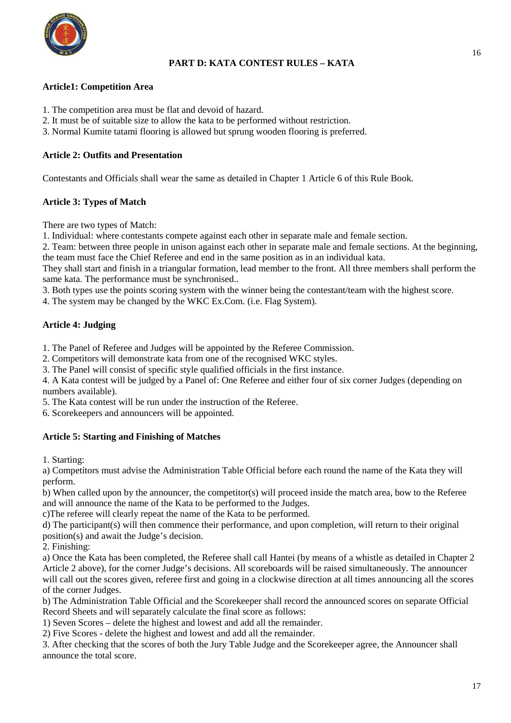

## **PART D: KATA CONTEST RULES – KATA**

#### **Article1: Competition Area**

- 1. The competition area must be flat and devoid of hazard.
- 2. It must be of suitable size to allow the kata to be performed without restriction.
- 3. Normal Kumite tatami flooring is allowed but sprung wooden flooring is preferred.

#### **Article 2: Outfits and Presentation**

Contestants and Officials shall wear the same as detailed in Chapter 1 Article 6 of this Rule Book.

## **Article 3: Types of Match**

There are two types of Match:

1. Individual: where contestants compete against each other in separate male and female section.

2. Team: between three people in unison against each other in separate male and female sections. At the beginning, the team must face the Chief Referee and end in the same position as in an individual kata.

They shall start and finish in a triangular formation, lead member to the front. All three members shall perform the same kata. The performance must be synchronised..

3. Both types use the points scoring system with the winner being the contestant/team with the highest score.

4. The system may be changed by the WKC Ex.Com. (i.e. Flag System).

## **Article 4: Judging**

1. The Panel of Referee and Judges will be appointed by the Referee Commission.

2. Competitors will demonstrate kata from one of the recognised WKC styles.

3. The Panel will consist of specific style qualified officials in the first instance.

4. A Kata contest will be judged by a Panel of: One Referee and either four of six corner Judges (depending on numbers available).

5. The Kata contest will be run under the instruction of the Referee.

6. Scorekeepers and announcers will be appointed.

## **Article 5: Starting and Finishing of Matches**

1. Starting:

a) Competitors must advise the Administration Table Official before each round the name of the Kata they will perform.

b) When called upon by the announcer, the competitor(s) will proceed inside the match area, bow to the Referee and will announce the name of the Kata to be performed to the Judges.

c)The referee will clearly repeat the name of the Kata to be performed.

d) The participant(s) will then commence their performance, and upon completion, will return to their original position(s) and await the Judge's decision.

2. Finishing:

a) Once the Kata has been completed, the Referee shall call Hantei (by means of a whistle as detailed in Chapter 2 Article 2 above), for the corner Judge's decisions. All scoreboards will be raised simultaneously. The announcer will call out the scores given, referee first and going in a clockwise direction at all times announcing all the scores of the corner Judges.

b) The Administration Table Official and the Scorekeeper shall record the announced scores on separate Official Record Sheets and will separately calculate the final score as follows:

1) Seven Scores – delete the highest and lowest and add all the remainder.

2) Five Scores - delete the highest and lowest and add all the remainder.

3. After checking that the scores of both the Jury Table Judge and the Scorekeeper agree, the Announcer shall announce the total score.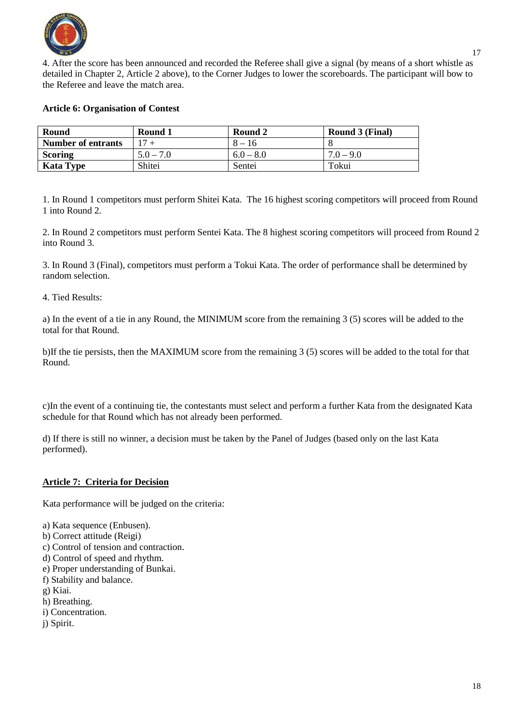

4. After the score has been announced and recorded the Referee shall give a signal (by means of a short whistle as detailed in Chapter 2, Article 2 above), to the Corner Judges to lower the scoreboards. The participant will bow to the Referee and leave the match area.

#### **Article 6: Organisation of Contest**

| Round              | Round 1     | Round 2     | Round 3 (Final) |
|--------------------|-------------|-------------|-----------------|
| Number of entrants | $17 +$      | $8 - 16$    |                 |
| <b>Scoring</b>     | $5.0 - 7.0$ | $6.0 - 8.0$ | $7.0 - 9.0$     |
| <b>Kata Type</b>   | Shitei      | Sentei      | Tokui           |

1. In Round 1 competitors must perform Shitei Kata. The 16 highest scoring competitors will proceed from Round 1 into Round 2.

2. In Round 2 competitors must perform Sentei Kata. The 8 highest scoring competitors will proceed from Round 2 into Round 3.

3. In Round 3 (Final), competitors must perform a Tokui Kata. The order of performance shall be determined by random selection.

#### 4. Tied Results:

a) In the event of a tie in any Round, the MINIMUM score from the remaining 3 (5) scores will be added to the total for that Round.

b)If the tie persists, then the MAXIMUM score from the remaining 3 (5) scores will be added to the total for that Round.

c)In the event of a continuing tie, the contestants must select and perform a further Kata from the designated Kata schedule for that Round which has not already been performed.

d) If there is still no winner, a decision must be taken by the Panel of Judges (based only on the last Kata performed).

#### **Article 7: Criteria for Decision**

Kata performance will be judged on the criteria:

- a) Kata sequence (Enbusen).
- b) Correct attitude (Reigi)
- c) Control of tension and contraction.
- d) Control of speed and rhythm.
- e) Proper understanding of Bunkai.
- f) Stability and balance.
- g) Kiai.
- h) Breathing.
- i) Concentration.
- j) Spirit.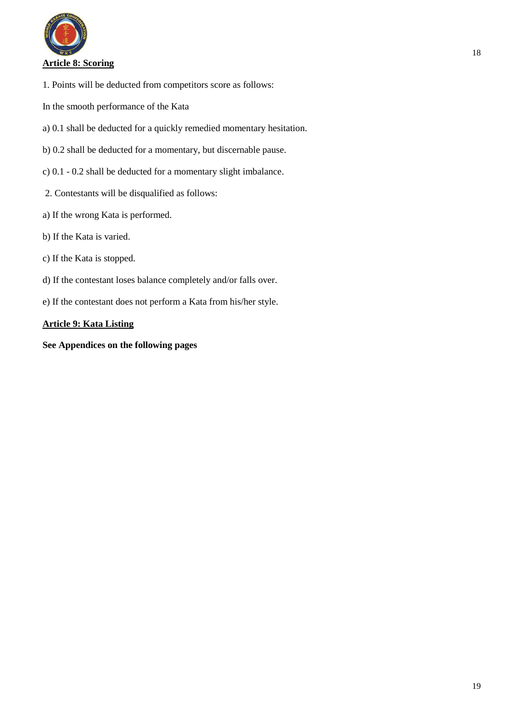

- 1. Points will be deducted from competitors score as follows:
- In the smooth performance of the Kata
- a) 0.1 shall be deducted for a quickly remedied momentary hesitation.
- b) 0.2 shall be deducted for a momentary, but discernable pause.
- c) 0.1 0.2 shall be deducted for a momentary slight imbalance.
- 2. Contestants will be disqualified as follows:
- a) If the wrong Kata is performed.
- b) If the Kata is varied.
- c) If the Kata is stopped.
- d) If the contestant loses balance completely and/or falls over.
- e) If the contestant does not perform a Kata from his/her style.

## **Article 9: Kata Listing**

**See Appendices on the following pages**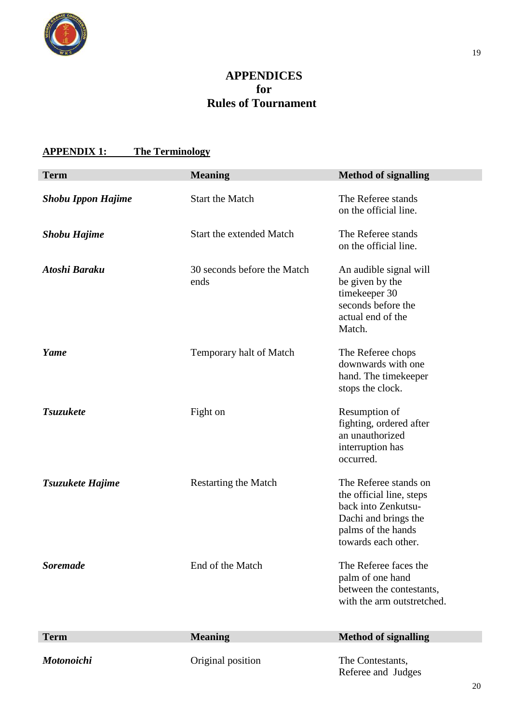

# **APPENDICES for Rules of Tournament**

# **APPENDIX 1: The Terminology**

| <b>Term</b>               | <b>Meaning</b>                      | <b>Method of signalling</b>                                                                                                                   |
|---------------------------|-------------------------------------|-----------------------------------------------------------------------------------------------------------------------------------------------|
| <b>Shobu Ippon Hajime</b> | <b>Start the Match</b>              | The Referee stands<br>on the official line.                                                                                                   |
| <b>Shobu Hajime</b>       | Start the extended Match            | The Referee stands<br>on the official line.                                                                                                   |
| Atoshi Baraku             | 30 seconds before the Match<br>ends | An audible signal will<br>be given by the<br>timekeeper 30<br>seconds before the<br>actual end of the<br>Match.                               |
| Yame                      | Temporary halt of Match             | The Referee chops<br>downwards with one<br>hand. The timekeeper<br>stops the clock.                                                           |
| <b>Tsuzukete</b>          | Fight on                            | Resumption of<br>fighting, ordered after<br>an unauthorized<br>interruption has<br>occurred.                                                  |
| Tsuzukete Hajime          | <b>Restarting the Match</b>         | The Referee stands on<br>the official line, steps<br>back into Zenkutsu-<br>Dachi and brings the<br>palms of the hands<br>towards each other. |
| <b>Soremade</b>           | End of the Match                    | The Referee faces the<br>palm of one hand<br>between the contestants,<br>with the arm outstretched.                                           |
| <b>Term</b>               | <b>Meaning</b>                      | <b>Method of signalling</b>                                                                                                                   |
| <b>Motonoichi</b>         | Original position                   | The Contestants,<br>Referee and Judges                                                                                                        |

20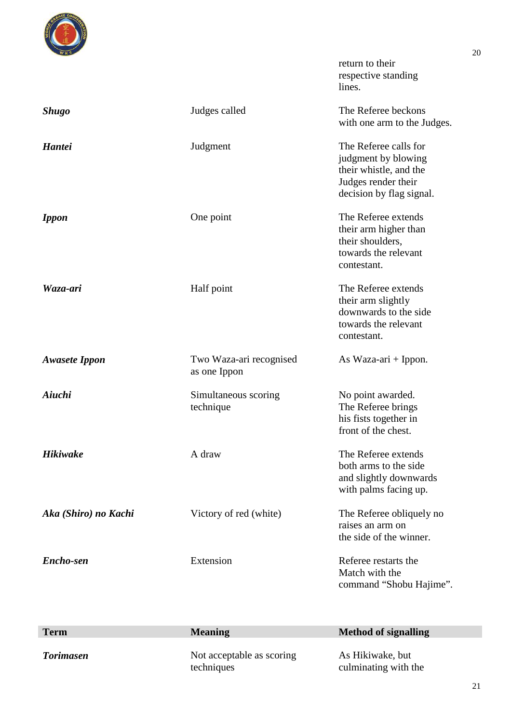

return to their respective standing lines.

| <b>Shugo</b>         | Judges called                           | The Referee beckons<br>with one arm to the Judges.                                                                        |
|----------------------|-----------------------------------------|---------------------------------------------------------------------------------------------------------------------------|
| <b>Hantei</b>        | Judgment                                | The Referee calls for<br>judgment by blowing<br>their whistle, and the<br>Judges render their<br>decision by flag signal. |
| <b>Ippon</b>         | One point                               | The Referee extends<br>their arm higher than<br>their shoulders,<br>towards the relevant<br>contestant.                   |
| Waza-ari             | Half point                              | The Referee extends<br>their arm slightly<br>downwards to the side<br>towards the relevant<br>contestant.                 |
| <b>Awasete Ippon</b> | Two Waza-ari recognised<br>as one Ippon | As Waza-ari $+$ Ippon.                                                                                                    |
| Aiuchi               | Simultaneous scoring<br>technique       | No point awarded.<br>The Referee brings<br>his fists together in<br>front of the chest.                                   |
| <b>Hikiwake</b>      | A draw                                  | The Referee extends<br>both arms to the side<br>and slightly downwards<br>with palms facing up.                           |
| Aka (Shiro) no Kachi | Victory of red (white)                  | The Referee obliquely no<br>raises an arm on<br>the side of the winner.                                                   |
| Encho-sen            | Extension                               | Referee restarts the<br>Match with the<br>command "Shobu Hajime".                                                         |

| <b>Term</b>      | <b>Meaning</b>                          | <b>Method of signalling</b>              |
|------------------|-----------------------------------------|------------------------------------------|
| <b>Torimasen</b> | Not acceptable as scoring<br>techniques | As Hikiwake, but<br>culminating with the |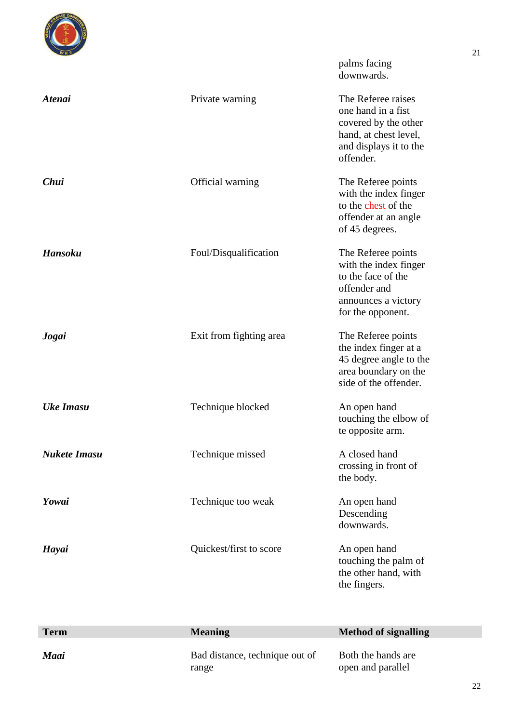

palms facing downwards.

| <b>Atenai</b>       | Private warning         | The Referee raises<br>one hand in a fist<br>covered by the other<br>hand, at chest level,<br>and displays it to the<br>offender. |
|---------------------|-------------------------|----------------------------------------------------------------------------------------------------------------------------------|
| Chui                | Official warning        | The Referee points<br>with the index finger<br>to the chest of the<br>offender at an angle<br>of 45 degrees.                     |
| <b>Hansoku</b>      | Foul/Disqualification   | The Referee points<br>with the index finger<br>to the face of the<br>offender and<br>announces a victory<br>for the opponent.    |
| Jogai               | Exit from fighting area | The Referee points<br>the index finger at a<br>45 degree angle to the<br>area boundary on the<br>side of the offender.           |
| <b>Uke Imasu</b>    | Technique blocked       | An open hand<br>touching the elbow of<br>te opposite arm.                                                                        |
| <b>Nukete Imasu</b> | Technique missed        | A closed hand<br>crossing in front of<br>the body.                                                                               |
| Yowai               | Technique too weak      | An open hand<br>Descending<br>downwards.                                                                                         |
| Hayai               | Quickest/first to score | An open hand<br>touching the palm of<br>the other hand, with<br>the fingers.                                                     |

| <b>Term</b> | <b>Meaning</b>                          | <b>Method of signalling</b>             |
|-------------|-----------------------------------------|-----------------------------------------|
| Maai        | Bad distance, technique out of<br>range | Both the hands are<br>open and parallel |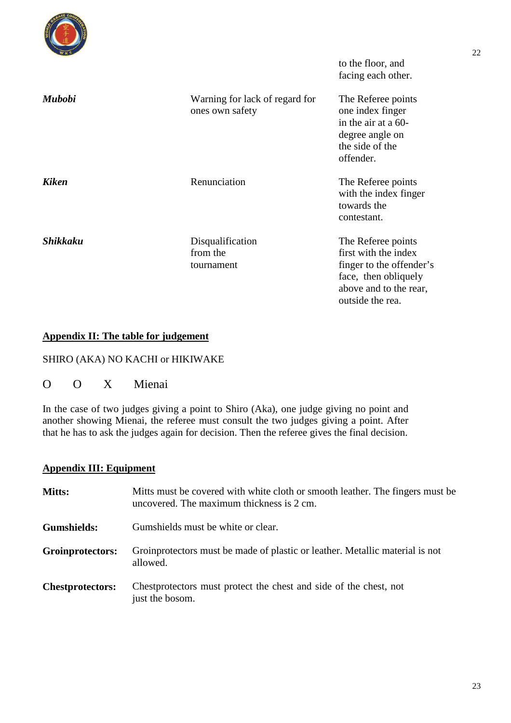|                 |                                                   | to the floor, and<br>facing each other.                                                                                                      |
|-----------------|---------------------------------------------------|----------------------------------------------------------------------------------------------------------------------------------------------|
| <b>Mubobi</b>   | Warning for lack of regard for<br>ones own safety | The Referee points<br>one index finger<br>in the air at a 60-<br>degree angle on<br>the side of the<br>offender.                             |
| <b>Kiken</b>    | Renunciation                                      | The Referee points<br>with the index finger<br>towards the<br>contestant.                                                                    |
| <b>Shikkaku</b> | Disqualification<br>from the<br>tournament        | The Referee points<br>first with the index<br>finger to the offender's<br>face, then obliquely<br>above and to the rear,<br>outside the rea. |

## **Appendix II: The table for judgement**

## SHIRO (AKA) NO KACHI or HIKIWAKE

O O X Mienai

In the case of two judges giving a point to Shiro (Aka), one judge giving no point and another showing Mienai, the referee must consult the two judges giving a point. After that he has to ask the judges again for decision. Then the referee gives the final decision.

## **Appendix III: Equipment**

| Mitts:                  | Mitts must be covered with white cloth or smooth leather. The fingers must be<br>uncovered. The maximum thickness is 2 cm. |
|-------------------------|----------------------------------------------------------------------------------------------------------------------------|
| Gumshields:             | Gumshields must be white or clear.                                                                                         |
| Groinprotectors:        | Groinprotectors must be made of plastic or leather. Metallic material is not<br>allowed.                                   |
| <b>Chestprotectors:</b> | Chest protectors must protect the chest and side of the chest, not<br>just the bosom.                                      |

22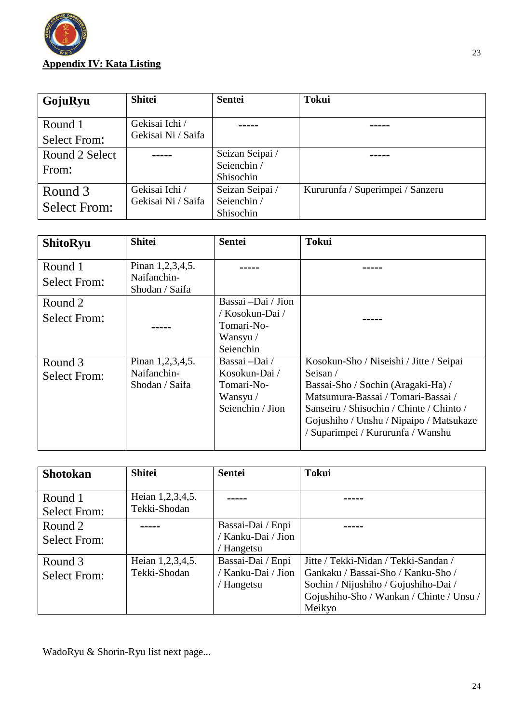

| GojuRyu                        | <b>Shitei</b>                        | <b>Sentei</b>                               | <b>Tokui</b>                     |
|--------------------------------|--------------------------------------|---------------------------------------------|----------------------------------|
| Round 1<br>Select From:        | Gekisai Ichi /<br>Gekisai Ni / Saifa |                                             |                                  |
| Round 2 Select<br>From:        |                                      | Seizan Seipai /<br>Seienchin /<br>Shisochin |                                  |
| Round 3<br><b>Select From:</b> | Gekisai Ichi /<br>Gekisai Ni / Saifa | Seizan Seipai /<br>Seienchin /<br>Shisochin | Kururunfa / Superimpei / Sanzeru |

| <b>ShitoRyu</b>                | <b>Shitei</b>                   | <b>Sentei</b>      | <b>Tokui</b>                             |
|--------------------------------|---------------------------------|--------------------|------------------------------------------|
| Round 1<br><b>Select From:</b> | Pinan 1,2,3,4,5.<br>Naifanchin- |                    |                                          |
|                                | Shodan / Saifa                  |                    |                                          |
| Round 2                        |                                 | Bassai -Dai / Jion |                                          |
| <b>Select From:</b>            |                                 | / Kosokun-Dai /    |                                          |
|                                |                                 | Tomari-No-         |                                          |
|                                |                                 | Wansyu /           |                                          |
|                                |                                 | Seienchin          |                                          |
| Round 3                        | Pinan 1,2,3,4,5.                | Bassai –Dai /      | Kosokun-Sho / Niseishi / Jitte / Seipai  |
| <b>Select From:</b>            | Naifanchin-                     | Kosokun-Dai /      | Seisan /                                 |
|                                | Shodan / Saifa                  | Tomari-No-         | Bassai-Sho / Sochin (Aragaki-Ha) /       |
|                                |                                 | Wansyu /           | Matsumura-Bassai / Tomari-Bassai /       |
|                                |                                 | Seienchin / Jion   | Sanseiru / Shisochin / Chinte / Chinto / |
|                                |                                 |                    | Gojushiho / Unshu / Nipaipo / Matsukaze  |
|                                |                                 |                    | / Suparimpei / Kururunfa / Wanshu        |
|                                |                                 |                    |                                          |

| <b>Shotokan</b>                | <b>Shitei</b>                    | <b>Sentei</b>                                       | <b>Tokui</b>                                                                                                                                                             |
|--------------------------------|----------------------------------|-----------------------------------------------------|--------------------------------------------------------------------------------------------------------------------------------------------------------------------------|
| Round 1<br><b>Select From:</b> | Heian 1,2,3,4,5.<br>Tekki-Shodan |                                                     |                                                                                                                                                                          |
| Round 2<br><b>Select From:</b> |                                  | Bassai-Dai / Enpi<br>Kanku-Dai / Jion<br>/ Hangetsu |                                                                                                                                                                          |
| Round 3<br><b>Select From:</b> | Heian 1,2,3,4,5.<br>Tekki-Shodan | Bassai-Dai / Enpi<br>Kanku-Dai / Jion<br>/ Hangetsu | Jitte / Tekki-Nidan / Tekki-Sandan /<br>Gankaku / Bassai-Sho / Kanku-Sho /<br>Sochin / Nijushiho / Gojushiho-Dai /<br>Gojushiho-Sho / Wankan / Chinte / Unsu /<br>Meikyo |

WadoRyu & Shorin-Ryu list next page...